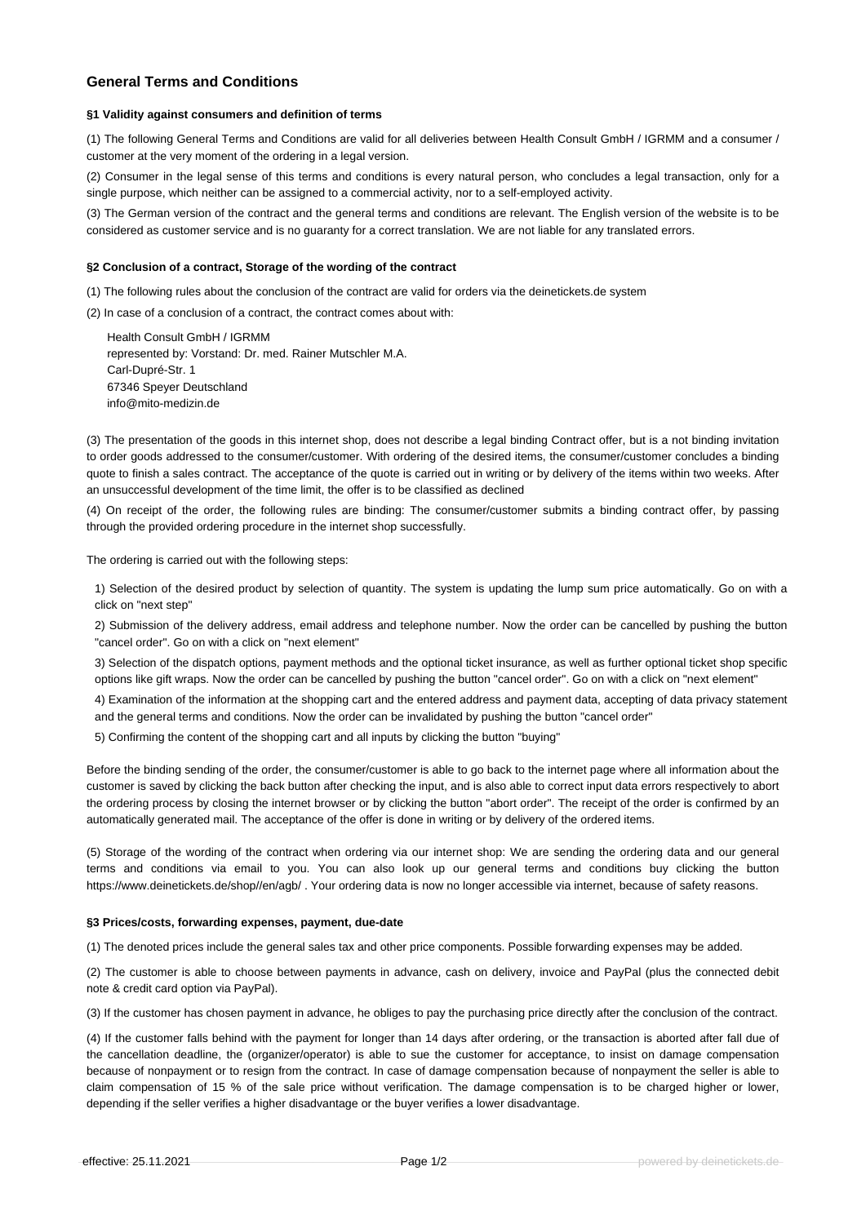# **General Terms and Conditions**

## **§1 Validity against consumers and definition of terms**

(1) The following General Terms and Conditions are valid for all deliveries between Health Consult GmbH / IGRMM and a consumer / customer at the very moment of the ordering in a legal version.

(2) Consumer in the legal sense of this terms and conditions is every natural person, who concludes a legal transaction, only for a single purpose, which neither can be assigned to a commercial activity, nor to a self-employed activity.

(3) The German version of the contract and the general terms and conditions are relevant. The English version of the website is to be considered as customer service and is no guaranty for a correct translation. We are not liable for any translated errors.

# **§2 Conclusion of a contract, Storage of the wording of the contract**

(1) The following rules about the conclusion of the contract are valid for orders via the deinetickets.de system

(2) In case of a conclusion of a contract, the contract comes about with:

Health Consult GmbH / IGRMM represented by: Vorstand: Dr. med. Rainer Mutschler M.A. Carl-Dupré-Str. 1 67346 Speyer Deutschland info@mito-medizin.de

(3) The presentation of the goods in this internet shop, does not describe a legal binding Contract offer, but is a not binding invitation to order goods addressed to the consumer/customer. With ordering of the desired items, the consumer/customer concludes a binding quote to finish a sales contract. The acceptance of the quote is carried out in writing or by delivery of the items within two weeks. After an unsuccessful development of the time limit, the offer is to be classified as declined

(4) On receipt of the order, the following rules are binding: The consumer/customer submits a binding contract offer, by passing through the provided ordering procedure in the internet shop successfully.

The ordering is carried out with the following steps:

1) Selection of the desired product by selection of quantity. The system is updating the lump sum price automatically. Go on with a click on "next step"

2) Submission of the delivery address, email address and telephone number. Now the order can be cancelled by pushing the button "cancel order". Go on with a click on "next element"

3) Selection of the dispatch options, payment methods and the optional ticket insurance, as well as further optional ticket shop specific options like gift wraps. Now the order can be cancelled by pushing the button "cancel order". Go on with a click on "next element"

4) Examination of the information at the shopping cart and the entered address and payment data, accepting of data privacy statement and the general terms and conditions. Now the order can be invalidated by pushing the button "cancel order"

5) Confirming the content of the shopping cart and all inputs by clicking the button "buying"

Before the binding sending of the order, the consumer/customer is able to go back to the internet page where all information about the customer is saved by clicking the back button after checking the input, and is also able to correct input data errors respectively to abort the ordering process by closing the internet browser or by clicking the button "abort order". The receipt of the order is confirmed by an automatically generated mail. The acceptance of the offer is done in writing or by delivery of the ordered items.

(5) Storage of the wording of the contract when ordering via our internet shop: We are sending the ordering data and our general terms and conditions via email to you. You can also look up our general terms and conditions buy clicking the button https://www.deinetickets.de/shop//en/agb/ . Your ordering data is now no longer accessible via internet, because of safety reasons.

### **§3 Prices/costs, forwarding expenses, payment, due-date**

(1) The denoted prices include the general sales tax and other price components. Possible forwarding expenses may be added.

(2) The customer is able to choose between payments in advance, cash on delivery, invoice and PayPal (plus the connected debit note & credit card option via PayPal).

(3) If the customer has chosen payment in advance, he obliges to pay the purchasing price directly after the conclusion of the contract.

(4) If the customer falls behind with the payment for longer than 14 days after ordering, or the transaction is aborted after fall due of the cancellation deadline, the (organizer/operator) is able to sue the customer for acceptance, to insist on damage compensation because of nonpayment or to resign from the contract. In case of damage compensation because of nonpayment the seller is able to claim compensation of 15 % of the sale price without verification. The damage compensation is to be charged higher or lower, depending if the seller verifies a higher disadvantage or the buyer verifies a lower disadvantage.